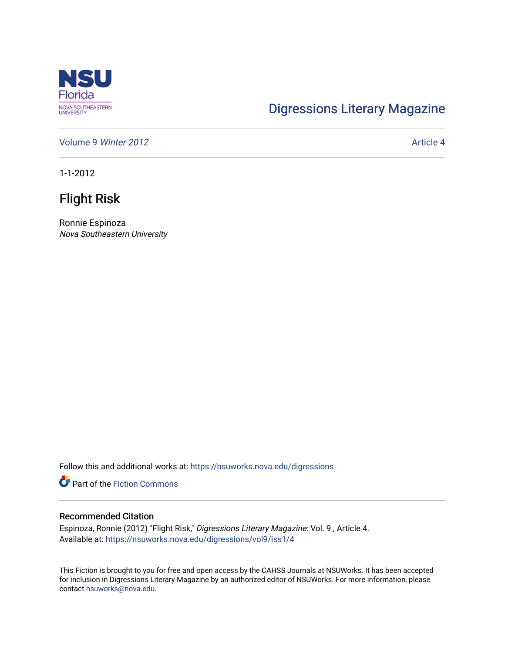

# [Digressions Literary Magazine](https://nsuworks.nova.edu/digressions)

[Volume 9](https://nsuworks.nova.edu/digressions/vol9) Winter 2012 **Article 4** Article 4

1-1-2012

## Flight Risk

Ronnie Espinoza Nova Southeastern University

Follow this and additional works at: [https://nsuworks.nova.edu/digressions](https://nsuworks.nova.edu/digressions?utm_source=nsuworks.nova.edu%2Fdigressions%2Fvol9%2Fiss1%2F4&utm_medium=PDF&utm_campaign=PDFCoverPages) 

**Part of the Fiction Commons** 

#### Recommended Citation

Espinoza, Ronnie (2012) "Flight Risk," Digressions Literary Magazine: Vol. 9 , Article 4. Available at: [https://nsuworks.nova.edu/digressions/vol9/iss1/4](https://nsuworks.nova.edu/digressions/vol9/iss1/4?utm_source=nsuworks.nova.edu%2Fdigressions%2Fvol9%2Fiss1%2F4&utm_medium=PDF&utm_campaign=PDFCoverPages) 

This Fiction is brought to you for free and open access by the CAHSS Journals at NSUWorks. It has been accepted for inclusion in Digressions Literary Magazine by an authorized editor of NSUWorks. For more information, please contact [nsuworks@nova.edu.](mailto:nsuworks@nova.edu)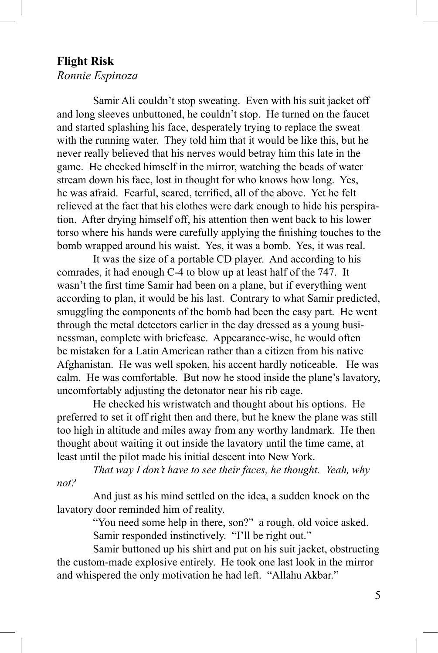### **Flight Risk**

### *Ronnie Espinoza*

Samir Ali couldn't stop sweating. Even with his suit jacket off and long sleeves unbuttoned, he couldn't stop. He turned on the faucet and started splashing his face, desperately trying to replace the sweat with the running water. They told him that it would be like this, but he never really believed that his nerves would betray him this late in the game. He checked himself in the mirror, watching the beads of water stream down his face, lost in thought for who knows how long. Yes, he was afraid. Fearful, scared, terrified, all of the above. Yet he felt relieved at the fact that his clothes were dark enough to hide his perspiration. After drying himself off, his attention then went back to his lower torso where his hands were carefully applying the finishing touches to the bomb wrapped around his waist. Yes, it was a bomb. Yes, it was real.

It was the size of a portable CD player. And according to his comrades, it had enough C-4 to blow up at least half of the 747. It wasn't the first time Samir had been on a plane, but if everything went according to plan, it would be his last. Contrary to what Samir predicted, smuggling the components of the bomb had been the easy part. He went through the metal detectors earlier in the day dressed as a young businessman, complete with briefcase. Appearance-wise, he would often be mistaken for a Latin American rather than a citizen from his native Afghanistan. He was well spoken, his accent hardly noticeable. He was calm. He was comfortable. But now he stood inside the plane's lavatory, uncomfortably adjusting the detonator near his rib cage.

He checked his wristwatch and thought about his options. He preferred to set it off right then and there, but he knew the plane was still too high in altitude and miles away from any worthy landmark. He then thought about waiting it out inside the lavatory until the time came, at least until the pilot made his initial descent into New York.

*That way I don't have to see their faces, he thought. Yeah, why not?*

And just as his mind settled on the idea, a sudden knock on the lavatory door reminded him of reality.

> "You need some help in there, son?" a rough, old voice asked. Samir responded instinctively. "I'll be right out."

Samir buttoned up his shirt and put on his suit jacket, obstructing the custom-made explosive entirely. He took one last look in the mirror and whispered the only motivation he had left. "Allahu Akbar."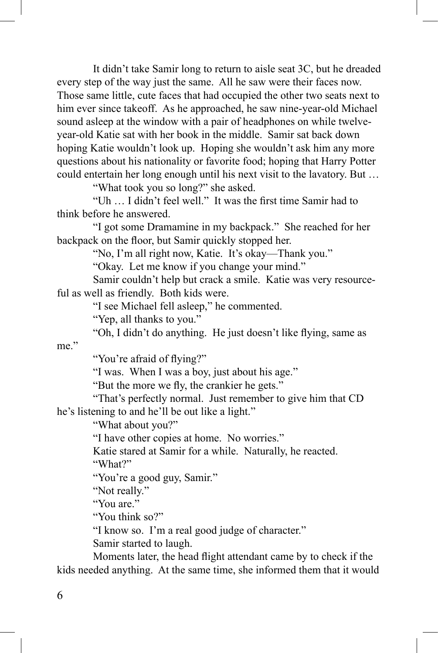It didn't take Samir long to return to aisle seat 3C, but he dreaded every step of the way just the same. All he saw were their faces now. Those same little, cute faces that had occupied the other two seats next to him ever since takeoff. As he approached, he saw nine-year-old Michael sound asleep at the window with a pair of headphones on while twelveyear-old Katie sat with her book in the middle. Samir sat back down hoping Katie wouldn't look up. Hoping she wouldn't ask him any more questions about his nationality or favorite food; hoping that Harry Potter could entertain her long enough until his next visit to the lavatory. But …

"What took you so long?" she asked.

"Uh … I didn't feel well." It was the first time Samir had to think before he answered.

"I got some Dramamine in my backpack." She reached for her backpack on the floor, but Samir quickly stopped her.

"No, I'm all right now, Katie. It's okay—Thank you."

"Okay. Let me know if you change your mind."

Samir couldn't help but crack a smile. Katie was very resourceful as well as friendly. Both kids were.

"I see Michael fell asleep," he commented.

"Yep, all thanks to you."

"Oh, I didn't do anything. He just doesn't like flying, same as

me."

"You're afraid of flying?"

"I was. When I was a boy, just about his age."

"But the more we fly, the crankier he gets."

"That's perfectly normal. Just remember to give him that CD he's listening to and he'll be out like a light."

"What about you?"

"I have other copies at home. No worries."

Katie stared at Samir for a while. Naturally, he reacted. "What?"

"You're a good guy, Samir."

"Not really."

"You are."

"You think so?"

"I know so. I'm a real good judge of character."

Samir started to laugh.

Moments later, the head flight attendant came by to check if the kids needed anything. At the same time, she informed them that it would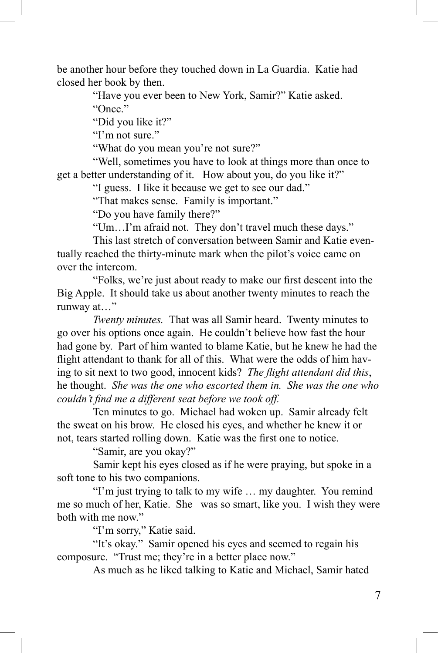be another hour before they touched down in La Guardia. Katie had closed her book by then.

"Have you ever been to New York, Samir?" Katie asked.

"Once"

"Did you like it?"

"I'm not sure."

"What do you mean you're not sure?"

"Well, sometimes you have to look at things more than once to get a better understanding of it. How about you, do you like it?"

"I guess. I like it because we get to see our dad."

"That makes sense. Family is important."

"Do you have family there?"

"Um…I'm afraid not. They don't travel much these days."

This last stretch of conversation between Samir and Katie eventually reached the thirty-minute mark when the pilot's voice came on over the intercom.

"Folks, we're just about ready to make our first descent into the Big Apple. It should take us about another twenty minutes to reach the runway at…"

*Twenty minutes.* That was all Samir heard. Twenty minutes to go over his options once again. He couldn't believe how fast the hour had gone by. Part of him wanted to blame Katie, but he knew he had the flight attendant to thank for all of this. What were the odds of him having to sit next to two good, innocent kids? *The flight attendant did this*, he thought. *She was the one who escorted them in. She was the one who couldn't find me a different seat before we took off.*

Ten minutes to go. Michael had woken up. Samir already felt the sweat on his brow. He closed his eyes, and whether he knew it or not, tears started rolling down. Katie was the first one to notice.

"Samir, are you okay?"

Samir kept his eyes closed as if he were praying, but spoke in a soft tone to his two companions.

"I'm just trying to talk to my wife … my daughter. You remind me so much of her, Katie. She was so smart, like you. I wish they were both with me now."

"I'm sorry," Katie said.

"It's okay." Samir opened his eyes and seemed to regain his composure. "Trust me; they're in a better place now."

As much as he liked talking to Katie and Michael, Samir hated